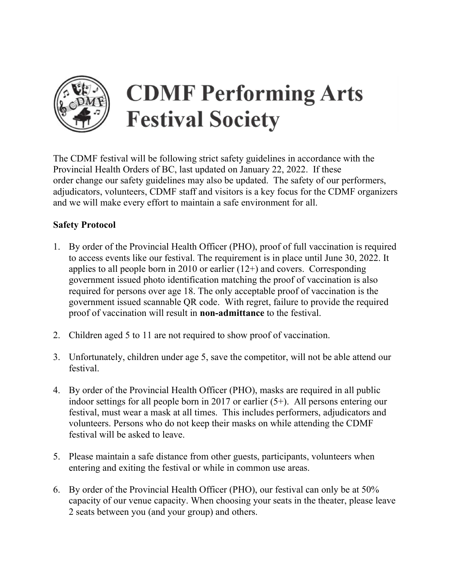

## **CDMF Performing Arts Festival Society**

The CDMF festival will be following strict safety guidelines in accordance with the Provincial Health Orders of BC, last updated on January 22, 2022. If these order change our safety guidelines may also be updated. The safety of our performers, adjudicators, volunteers, CDMF staff and visitors is a key focus for the CDMF organizers and we will make every effort to maintain a safe environment for all.

- Safety Protocol<br>1. By order of the Provincial Health Officer (PHO), proof of full vaccination is required to access events like our festival. The requirement is in place until June 30, 2022. It applies to all people born in 2010 or earlier  $(12+)$  and covers. Corresponding government issued photo identification matching the proof of vaccination is also required for persons over age 18. The only acceptable proof of vaccination is the government issued scannable QR code. With regret, failure to provide the required proof of vaccination will result in non-admittance to the festival.
- 2. Children aged 5 to 11 are not required to show proof of vaccination.
- 3. Unfortunately, children under age 5, save the competitor, will not be able attend our festival.
- 4. By order of the Provincial Health Officer (PHO), masks are required in all public indoor settings for all people born in 2017 or earlier (5+). All persons entering our festival, must wear a mask at all times. This includes performers, adjudicators and volunteers. Persons who do not keep their masks on while attending the CDMF festival will be asked to leave.
- 5. Please maintain a safe distance from other guests, participants, volunteers when entering and exiting the festival or while in common use areas.
- 6. By order of the Provincial Health Officer (PHO), our festival can only be at 50% capacity of our venue capacity. When choosing your seats in the theater, please leave 2 seats between you (and your group) and others.